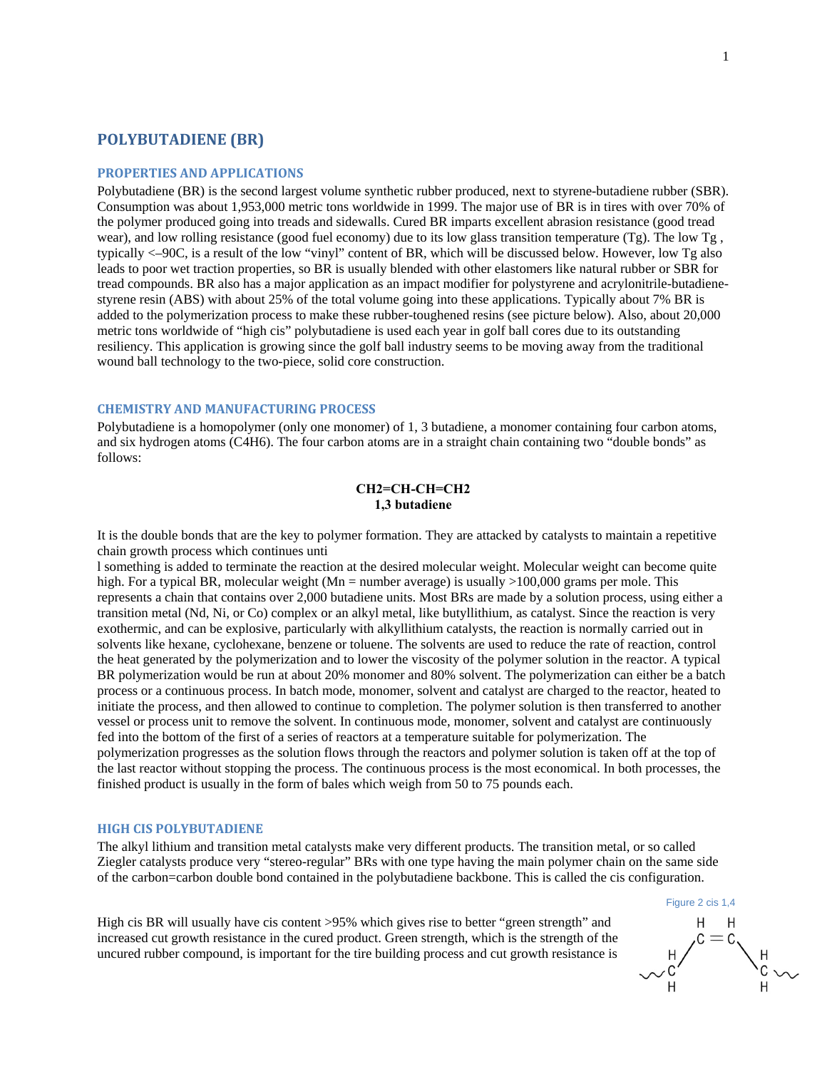# **POLYBUTADIENE (BR)**

#### **PROPERTIES AND APPLICATIONS**

Polybutadiene (BR) is the second largest volume synthetic rubber produced, next to styrene-butadiene rubber (SBR). Consumption was about 1,953,000 metric tons worldwide in 1999. The major use of BR is in tires with over 70% of the polymer produced going into treads and sidewalls. Cured BR imparts excellent abrasion resistance (good tread wear), and low rolling resistance (good fuel economy) due to its low glass transition temperature (Tg). The low Tg , typically <–90C, is a result of the low "vinyl" content of BR, which will be discussed below. However, low Tg also leads to poor wet traction properties, so BR is usually blended with other elastomers like natural rubber or SBR for tread compounds. BR also has a major application as an impact modifier for polystyrene and acrylonitrile-butadienestyrene resin (ABS) with about 25% of the total volume going into these applications. Typically about 7% BR is added to the polymerization process to make these rubber-toughened resins (see picture below). Also, about 20,000 metric tons worldwide of "high cis" polybutadiene is used each year in golf ball cores due to its outstanding resiliency. This application is growing since the golf ball industry seems to be moving away from the traditional wound ball technology to the two-piece, solid core construction.

## **CHEMISTRY AND MANUFACTURING PROCESS**

Polybutadiene is a homopolymer (only one monomer) of 1, 3 butadiene, a monomer containing four carbon atoms, and six hydrogen atoms (C4H6). The four carbon atoms are in a straight chain containing two "double bonds" as follows:

### **CH2=CH-CH=CH2 1,3 butadiene**

It is the double bonds that are the key to polymer formation. They are attacked by catalysts to maintain a repetitive chain growth process which continues unti

l something is added to terminate the reaction at the desired molecular weight. Molecular weight can become quite high. For a typical BR, molecular weight (Mn = number average) is usually >100,000 grams per mole. This represents a chain that contains over 2,000 butadiene units. Most BRs are made by a solution process, using either a transition metal (Nd, Ni, or Co) complex or an alkyl metal, like butyllithium, as catalyst. Since the reaction is very exothermic, and can be explosive, particularly with alkyllithium catalysts, the reaction is normally carried out in solvents like hexane, cyclohexane, benzene or toluene. The solvents are used to reduce the rate of reaction, control the heat generated by the polymerization and to lower the viscosity of the polymer solution in the reactor. A typical BR polymerization would be run at about 20% monomer and 80% solvent. The polymerization can either be a batch process or a continuous process. In batch mode, monomer, solvent and catalyst are charged to the reactor, heated to initiate the process, and then allowed to continue to completion. The polymer solution is then transferred to another vessel or process unit to remove the solvent. In continuous mode, monomer, solvent and catalyst are continuously fed into the bottom of the first of a series of reactors at a temperature suitable for polymerization. The polymerization progresses as the solution flows through the reactors and polymer solution is taken off at the top of the last reactor without stopping the process. The continuous process is the most economical. In both processes, the finished product is usually in the form of bales which weigh from 50 to 75 pounds each.

### **HIGH CIS POLYBUTADIENE**

The alkyl lithium and transition metal catalysts make very different products. The transition metal, or so called Ziegler catalysts produce very "stereo-regular" BRs with one type having the main polymer chain on the same side of the carbon=carbon double bond contained in the polybutadiene backbone. This is called the cis configuration.

High cis BR will usually have cis content >95% which gives rise to better "green strength" and increased cut growth resistance in the cured product. Green strength, which is the strength of the uncured rubber compound, is important for the tire building process and cut growth resistance is